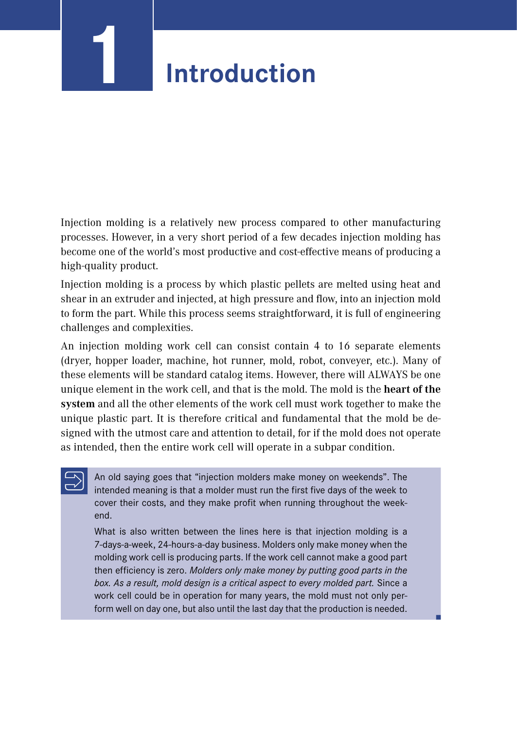# **Introduction**

**1**

Injection molding is a relatively new process compared to other manufacturing processes. However, in a very short period of a few decades injection molding has become one of the world's most productive and cost-effective means of producing a high-quality product.

Injection molding is a process by which plastic pellets are melted using heat and shear in an extruder and injected, at high pressure and flow, into an injection mold to form the part. While this process seems straightforward, it is full of engineering challenges and complexities.

An injection molding work cell can consist contain 4 to 16 separate elements (dryer, hopper loader, machine, hot runner, mold, robot, conveyer, etc.). Many of these elements will be standard catalog items. However, there will ALWAYS be one unique element in the work cell, and that is the mold. The mold is the **heart of the system** and all the other elements of the work cell must work together to make the unique plastic part. It is therefore critical and fundamental that the mold be designed with the utmost care and attention to detail, for if the mold does not operate as intended, then the entire work cell will operate in a subpar condition.

An old saying goes that "injection molders make money on weekends". The intended meaning is that a molder must run the first five days of the week to cover their costs, and they make profit when running throughout the weekend.

What is also written between the lines here is that injection molding is a 7-days-a-week, 24-hours-a-day business. Molders only make money when the molding work cell is producing parts. If the work cell cannot make a good part then efficiency is zero. *Molders only make money by putting good parts in the box. As a result, mold design is a critical aspect to every molded part.* Since a work cell could be in operation for many years, the mold must not only perform well on day one, but also until the last day that the production is needed.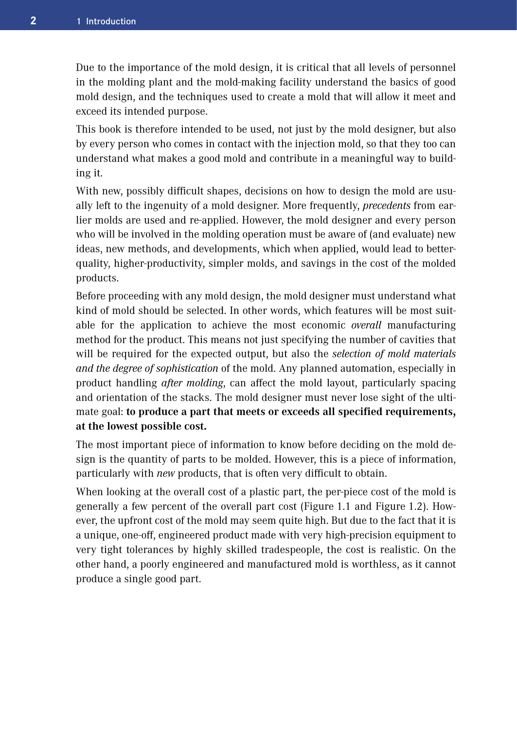Due to the importance of the mold design, it is critical that all levels of personnel in the molding plant and the mold-making facility understand the basics of good mold design, and the techniques used to create a mold that will allow it meet and exceed its intended purpose.

This book is therefore intended to be used, not just by the mold designer, but also by every person who comes in contact with the injection mold, so that they too can understand what makes a good mold and contribute in a meaningful way to building it.

With new, possibly difficult shapes, decisions on how to design the mold are usually left to the ingenuity of a mold designer. More frequently, *precedents* from earlier molds are used and re-applied. However, the mold designer and every person who will be involved in the molding operation must be aware of (and evaluate) new ideas, new methods, and developments, which when applied, would lead to betterquality, higher-productivity, simpler molds, and savings in the cost of the molded products.

Before proceeding with any mold design, the mold designer must understand what kind of mold should be selected. In other words, which features will be most suitable for the application to achieve the most economic *overall* manufacturing method for the product. This means not just specifying the number of cavities that will be required for the expected output, but also the *selection of mold materials and the degree of sophistication* of the mold. Any planned automation, especially in product handling *after molding*, can affect the mold layout, particularly spacing and orientation of the stacks. The mold designer must never lose sight of the ultimate goal: **to produce a part that meets or exceeds all specified requirements, at the lowest possible cost.**

The most important piece of information to know before deciding on the mold design is the quantity of parts to be molded. However, this is a piece of information, particularly with *new* products, that is often very difficult to obtain.

When looking at the overall cost of a plastic part, the per-piece cost of the mold is generally a few percent of the overall part cost (Figure 1.1 and Figure 1.2). However, the upfront cost of the mold may seem quite high. But due to the fact that it is a unique, one-off, engineered product made with very high-precision equipment to very tight tolerances by highly skilled tradespeople, the cost is realistic. On the other hand, a poorly engineered and manufactured mold is worthless, as it cannot produce a single good part.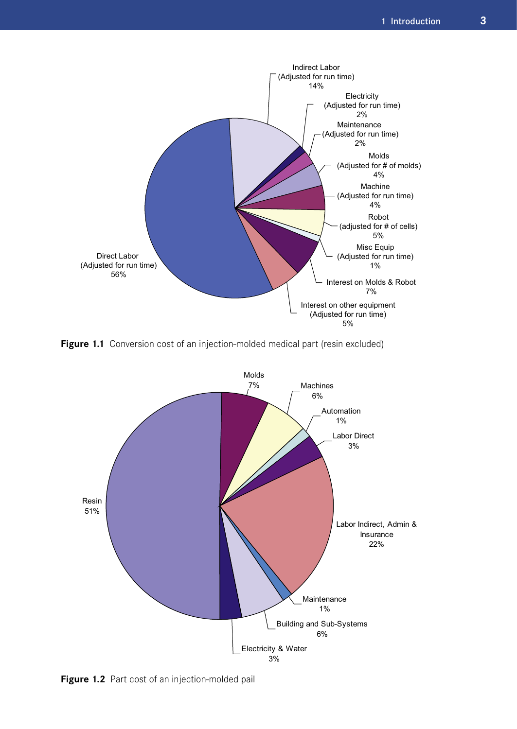

**Figure 1.1** Conversion cost of an injection-molded medical part (resin excluded)



**Figure 1.2** Part cost of an injection-molded pail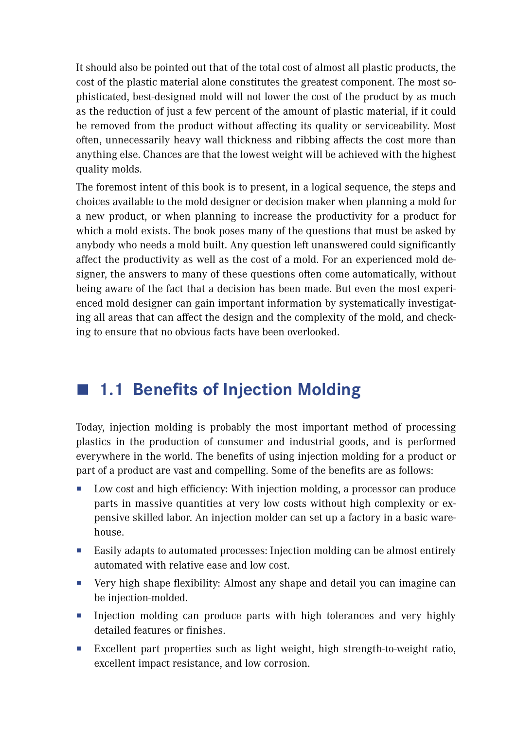It should also be pointed out that of the total cost of almost all plastic products, the cost of the plastic material alone constitutes the greatest component. The most sophisticated, best-designed mold will not lower the cost of the product by as much as the reduction of just a few percent of the amount of plastic material, if it could be removed from the product without affecting its quality or serviceability. Most often, unnecessarily heavy wall thickness and ribbing affects the cost more than anything else. Chances are that the lowest weight will be achieved with the highest quality molds.

The foremost intent of this book is to present, in a logical sequence, the steps and choices available to the mold designer or decision maker when planning a mold for a new product, or when planning to increase the productivity for a product for which a mold exists. The book poses many of the questions that must be asked by anybody who needs a mold built. Any question left unanswered could significantly affect the productivity as well as the cost of a mold. For an experienced mold designer, the answers to many of these questions often come automatically, without being aware of the fact that a decision has been made. But even the most experienced mold designer can gain important information by systematically investigating all areas that can affect the design and the complexity of the mold, and checking to ensure that no obvious facts have been overlooked.

# ■ 1.1 Benefits of Injection Molding

Today, injection molding is probably the most important method of processing plastics in the production of consumer and industrial goods, and is performed everywhere in the world. The benefits of using injection molding for a product or part of a product are vast and compelling. Some of the benefits are as follows:

- Low cost and high efficiency: With injection molding, a processor can produce parts in massive quantities at very low costs without high complexity or expensive skilled labor. An injection molder can set up a factory in a basic warehouse.
- Easily adapts to automated processes: Injection molding can be almost entirely automated with relative ease and low cost.
- Very high shape flexibility: Almost any shape and detail you can imagine can be injection-molded.
- Injection molding can produce parts with high tolerances and very highly detailed features or finishes.
- Excellent part properties such as light weight, high strength-to-weight ratio, excellent impact resistance, and low corrosion.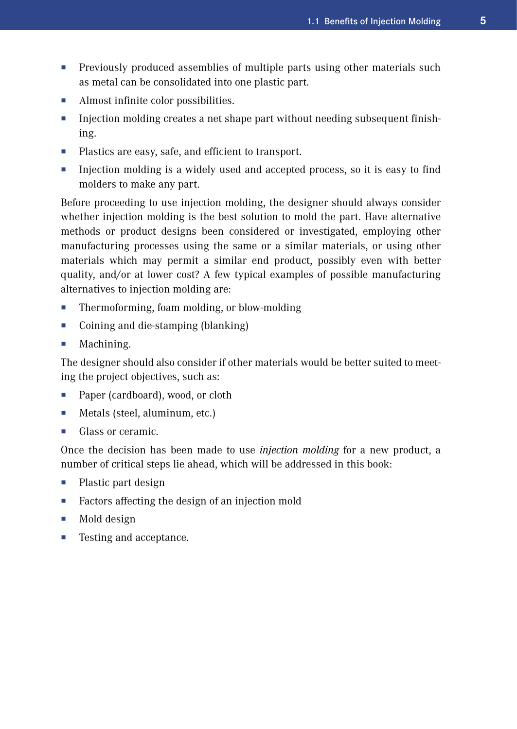- Previously produced assemblies of multiple parts using other materials such as metal can be consolidated into one plastic part.
- **Almost infinite color possibilities.**
- Injection molding creates a net shape part without needing subsequent finishing.
- Plastics are easy, safe, and efficient to transport.
- Injection molding is a widely used and accepted process, so it is easy to find molders to make any part.

Before proceeding to use injection molding, the designer should always consider whether injection molding is the best solution to mold the part. Have alternative methods or product designs been considered or investigated, employing other manufacturing processes using the same or a similar materials, or using other materials which may permit a similar end product, possibly even with better quality, and/or at lower cost? A few typical examples of possible manufacturing alternatives to injection molding are:

- Thermoforming, foam molding, or blow-molding
- Coining and die-stamping (blanking)
- **Machining.**

The designer should also consider if other materials would be better suited to meeting the project objectives, such as:

- Paper (cardboard), wood, or cloth
- Metals (steel, aluminum, etc.)
- Glass or ceramic.

Once the decision has been made to use *injection molding* for a new product, a number of critical steps lie ahead, which will be addressed in this book:

- Plastic part design
- Factors affecting the design of an injection mold
- Mold design
- Testing and acceptance.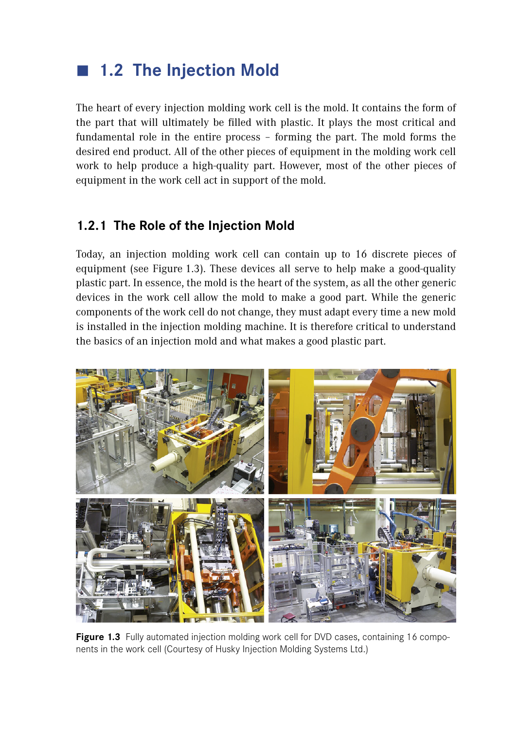## **1.2 The Injection Mold**

The heart of every injection molding work cell is the mold. It contains the form of the part that will ultimately be filled with plastic. It plays the most critical and fundamental role in the entire process – forming the part. The mold forms the desired end product. All of the other pieces of equipment in the molding work cell work to help produce a high-quality part. However, most of the other pieces of equipment in the work cell act in support of the mold.

#### **1.2.1 The Role of the Injection Mold**

Today, an injection molding work cell can contain up to 16 discrete pieces of equipment (see Figure 1.3). These devices all serve to help make a good-quality plastic part. In essence, the mold is the heart of the system, as all the other generic devices in the work cell allow the mold to make a good part. While the generic components of the work cell do not change, they must adapt every time a new mold is installed in the injection molding machine. It is therefore critical to understand the basics of an injection mold and what makes a good plastic part.



**Figure 1.3** Fully automated injection molding work cell for DVD cases, containing 16 components in the work cell (Courtesy of Husky Injection Molding Systems Ltd.)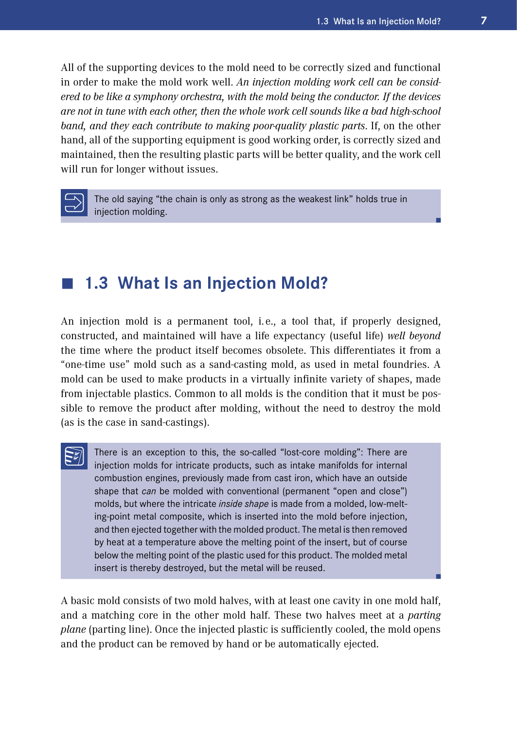All of the supporting devices to the mold need to be correctly sized and functional in order to make the mold work well. *An injection molding work cell can be considered to be like a symphony orchestra, with the mold being the conductor. If the devices are not in tune with each other, then the whole work cell sounds like a bad high-school band, and they each contribute to making poor-quality plastic parts*. If, on the other hand, all of the supporting equipment is good working order, is correctly sized and maintained, then the resulting plastic parts will be better quality, and the work cell will run for longer without issues.

The old saying "the chain is only as strong as the weakest link" holds true in injection molding.

### **1.3 What Is an Injection Mold?**

An injection mold is a permanent tool, i.e., a tool that, if properly designed, constructed, and maintained will have a life expectancy (useful life) *well beyond* the time where the product itself becomes obsolete. This differentiates it from a "one-time use" mold such as a sand-casting mold, as used in metal foundries. A mold can be used to make products in a virtually infinite variety of shapes, made from injectable plastics. Common to all molds is the condition that it must be possible to remove the product after molding, without the need to destroy the mold (as is the case in sand-castings).

There is an exception to this, the so-called "lost-core molding": There are  $\Xi$ el injection molds for intricate products, such as intake manifolds for internal combustion engines, previously made from cast iron, which have an outside shape that *can* be molded with conventional (permanent "open and close") molds, but where the intricate *inside shape* is made from a molded, low-melting-point metal composite, which is inserted into the mold before injection, and then ejected together with the molded product. The metal is then removed by heat at a temperature above the melting point of the insert, but of course below the melting point of the plastic used for this product. The molded metal insert is thereby destroyed, but the metal will be reused.

A basic mold consists of two mold halves, with at least one cavity in one mold half, and a matching core in the other mold half. These two halves meet at a *parting plane* (parting line). Once the injected plastic is sufficiently cooled, the mold opens and the product can be removed by hand or be automatically ejected.

∟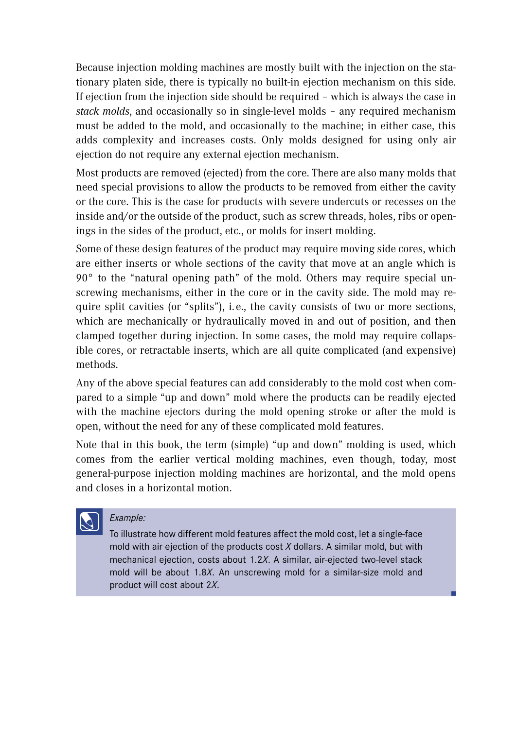Because injection molding machines are mostly built with the injection on the stationary platen side, there is typically no built-in ejection mechanism on this side. If ejection from the injection side should be required – which is always the case in *stack molds*, and occasionally so in single-level molds – any required mechanism must be added to the mold, and occasionally to the machine; in either case, this adds complexity and increases costs. Only molds designed for using only air ejection do not require any external ejection mechanism.

Most products are removed (ejected) from the core. There are also many molds that need special provisions to allow the products to be removed from either the cavity or the core. This is the case for products with severe undercuts or recesses on the inside and/or the outside of the product, such as screw threads, holes, ribs or openings in the sides of the product, etc., or molds for insert molding.

Some of these design features of the product may require moving side cores, which are either inserts or whole sections of the cavity that move at an angle which is 90° to the "natural opening path" of the mold. Others may require special unscrewing mechanisms, either in the core or in the cavity side. The mold may require split cavities (or "splits"), i. e., the cavity consists of two or more sections, which are mechanically or hydraulically moved in and out of position, and then clamped together during injection. In some cases, the mold may require collapsible cores, or retractable inserts, which are all quite complicated (and expensive) methods.

Any of the above special features can add considerably to the mold cost when compared to a simple "up and down" mold where the products can be readily ejected with the machine ejectors during the mold opening stroke or after the mold is open, without the need for any of these complicated mold features.

Note that in this book, the term (simple) "up and down" molding is used, which comes from the earlier vertical molding machines, even though, today, most general-purpose injection molding machines are horizontal, and the mold opens and closes in a horizontal motion.

#### *Example:*

To illustrate how different mold features affect the mold cost, let a single-face mold with air ejection of the products cost *X* dollars. A similar mold, but with mechanical ejection, costs about 1.2*X*. A similar, air-ejected two-level stack mold will be about 1.8*X*. An unscrewing mold for a similar-size mold and product will cost about 2*X*.

ı.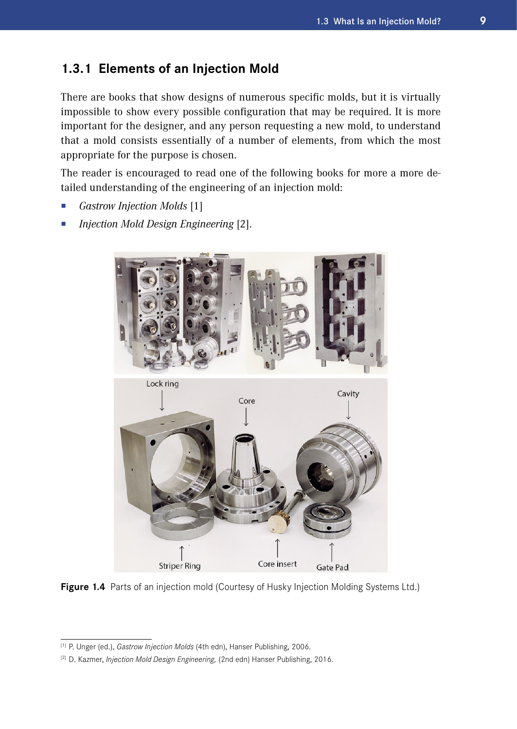#### **1.3.1 Elements of an Injection Mold**

There are books that show designs of numerous specific molds, but it is virtually impossible to show every possible configuration that may be required. It is more important for the designer, and any person requesting a new mold, to understand that a mold consists essentially of a number of elements, from which the most appropriate for the purpose is chosen.

The reader is encouraged to read one of the following books for more a more detailed understanding of the engineering of an injection mold:

- *Gastrow Injection Molds* [1]
- *Injection Mold Design Engineering* [2].



**Figure 1.4** Parts of an injection mold (Courtesy of Husky Injection Molding Systems Ltd.)

<sup>[1]</sup> P. Unger (ed.), *Gastrow Injection Molds* (4th edn), Hanser Publishing, 2006.

<sup>[2]</sup> D. Kazmer, *Injection Mold Design Engineering,* (2nd edn) Hanser Publishing, 2016.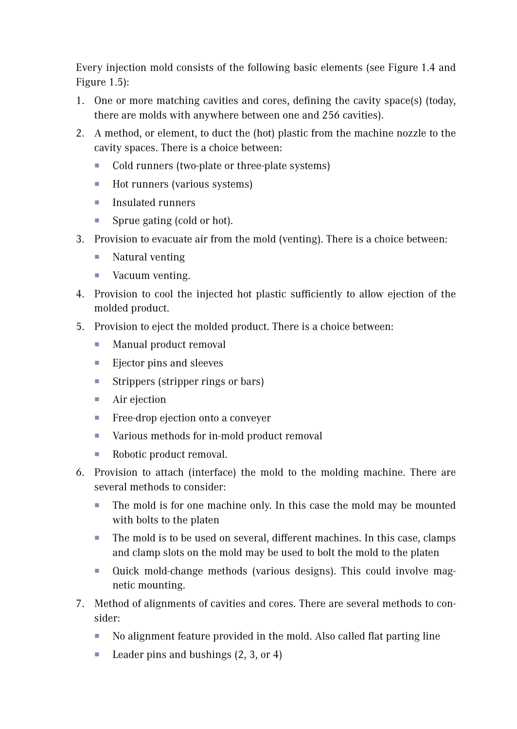Every injection mold consists of the following basic elements (see Figure 1.4 and Figure 1.5):

- 1. One or more matching cavities and cores, defining the cavity space(s) (today, there are molds with anywhere between one and 256 cavities).
- 2. A method, or element, to duct the (hot) plastic from the machine nozzle to the cavity spaces. There is a choice between:
	- Cold runners (two-plate or three-plate systems)
	- Hot runners (various systems)
	- **Insulated runners**
	- Sprue gating (cold or hot).
- 3. Provision to evacuate air from the mold (venting). There is a choice between:
	- Natural venting
	- Vacuum venting.
- 4. Provision to cool the injected hot plastic sufficiently to allow ejection of the molded product.
- 5. Provision to eject the molded product. There is a choice between:
	- Manual product removal
	- $\blacksquare$  Ejector pins and sleeves
	- $\blacksquare$  Strippers (stripper rings or bars)
	- Air ejection
	- Free-drop ejection onto a conveyer
	- various methods for in-mold product removal
	- Robotic product removal.
- 6. Provision to attach (interface) the mold to the molding machine. There are several methods to consider:
	- The mold is for one machine only. In this case the mold may be mounted with bolts to the platen
	- The mold is to be used on several, different machines. In this case, clamps and clamp slots on the mold may be used to bolt the mold to the platen
	- Quick mold-change methods (various designs). This could involve magnetic mounting.
- 7. Method of alignments of cavities and cores. There are several methods to consider:
	- No alignment feature provided in the mold. Also called flat parting line
	- Leader pins and bushings  $(2, 3, 0r 4)$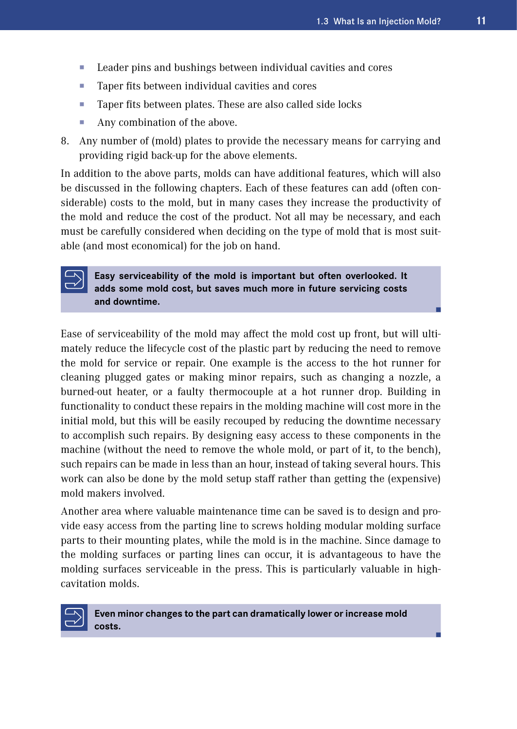- Leader pins and bushings between individual cavities and cores
- Taper fits between individual cavities and cores
- Taper fits between plates. These are also called side locks
- Any combination of the above.
- 8. Any number of (mold) plates to provide the necessary means for carrying and providing rigid back-up for the above elements.

In addition to the above parts, molds can have additional features, which will also be discussed in the following chapters. Each of these features can add (often considerable) costs to the mold, but in many cases they increase the productivity of the mold and reduce the cost of the product. Not all may be necessary, and each must be carefully considered when deciding on the type of mold that is most suitable (and most economical) for the job on hand.

#### **Easy serviceability of the mold is important but often overlooked. It adds some mold cost, but saves much more in future servicing costs and downtime.**

Ease of serviceability of the mold may affect the mold cost up front, but will ultimately reduce the lifecycle cost of the plastic part by reducing the need to remove the mold for service or repair. One example is the access to the hot runner for cleaning plugged gates or making minor repairs, such as changing a nozzle, a burned-out heater, or a faulty thermocouple at a hot runner drop. Building in functionality to conduct these repairs in the molding machine will cost more in the initial mold, but this will be easily recouped by reducing the downtime necessary to accomplish such repairs. By designing easy access to these components in the machine (without the need to remove the whole mold, or part of it, to the bench), such repairs can be made in less than an hour, instead of taking several hours. This work can also be done by the mold setup staff rather than getting the (expensive) mold makers involved.

Another area where valuable maintenance time can be saved is to design and provide easy access from the parting line to screws holding modular molding surface parts to their mounting plates, while the mold is in the machine. Since damage to the molding surfaces or parting lines can occur, it is advantageous to have the molding surfaces serviceable in the press. This is particularly valuable in highcavitation molds.



**Even minor changes to the part can dramatically lower or increase mold costs.**

L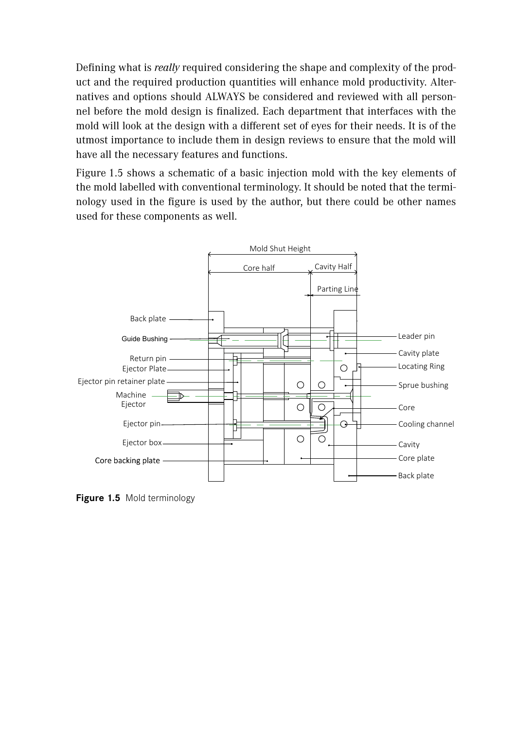Defining what is *really* required considering the shape and complexity of the product and the required production quantities will enhance mold productivity. Alternatives and options should ALWAYS be considered and reviewed with all personnel before the mold design is finalized. Each department that interfaces with the mold will look at the design with a different set of eyes for their needs. It is of the utmost importance to include them in design reviews to ensure that the mold will have all the necessary features and functions.

Figure 1.5 shows a schematic of a basic injection mold with the key elements of the mold labelled with conventional terminology. It should be noted that the terminology used in the figure is used by the author, but there could be other names used for these components as well.



**Figure 1.5** Mold terminology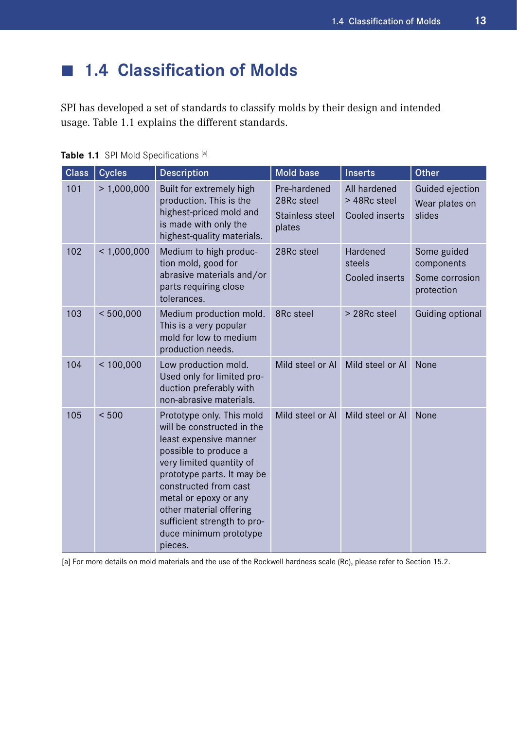# **1.4 Classification of Molds**

SPI has developed a set of standards to classify molds by their design and intended usage. Table 1.1 explains the different standards.

| <b>Class</b> | <b>Cycles</b> | <b>Description</b>                                                                                                                                                                                                                                                                                                    | <b>Mold base</b>                                        | <b>Inserts</b>                                 | Other                                                     |
|--------------|---------------|-----------------------------------------------------------------------------------------------------------------------------------------------------------------------------------------------------------------------------------------------------------------------------------------------------------------------|---------------------------------------------------------|------------------------------------------------|-----------------------------------------------------------|
| 101          | >1,000,000    | Built for extremely high<br>production. This is the<br>highest-priced mold and<br>is made with only the<br>highest-quality materials.                                                                                                                                                                                 | Pre-hardened<br>28Rc steel<br>Stainless steel<br>plates | All hardened<br>> 48Rc steel<br>Cooled inserts | Guided ejection<br>Wear plates on<br>slides               |
| 102          | < 1,000,000   | Medium to high produc-<br>tion mold, good for<br>abrasive materials and/or<br>parts requiring close<br>tolerances.                                                                                                                                                                                                    | 28Rc steel                                              | Hardened<br>steels<br>Cooled inserts           | Some guided<br>components<br>Some corrosion<br>protection |
| 103          | < 500,000     | Medium production mold.<br>This is a very popular<br>mold for low to medium<br>production needs.                                                                                                                                                                                                                      | 8Rc steel                                               | > 28Rc steel                                   | Guiding optional                                          |
| 104          | < 100,000     | Low production mold.<br>Used only for limited pro-<br>duction preferably with<br>non-abrasive materials.                                                                                                                                                                                                              | Mild steel or Al                                        | Mild steel or Al                               | None                                                      |
| 105          | < 500         | Prototype only. This mold<br>will be constructed in the<br>least expensive manner<br>possible to produce a<br>very limited quantity of<br>prototype parts. It may be<br>constructed from cast<br>metal or epoxy or any<br>other material offering<br>sufficient strength to pro-<br>duce minimum prototype<br>pieces. | Mild steel or Al                                        | Mild steel or Al                               | None                                                      |

**Table 1.1** SPI Mold Specifications [a]

[a] For more details on mold materials and the use of the Rockwell hardness scale (Rc), please refer to Section 15.2.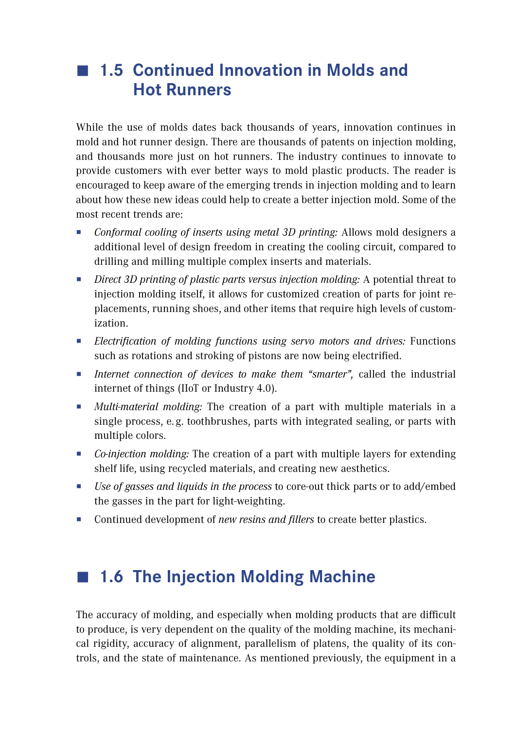# **1.5 Continued Innovation in Molds and Hot Runners**

While the use of molds dates back thousands of years, innovation continues in mold and hot runner design. There are thousands of patents on injection molding, and thousands more just on hot runners. The industry continues to innovate to provide customers with ever better ways to mold plastic products. The reader is encouraged to keep aware of the emerging trends in injection molding and to learn about how these new ideas could help to create a better injection mold. Some of the most recent trends are:

- *Conformal cooling of inserts using metal 3D printing:* Allows mold designers a additional level of design freedom in creating the cooling circuit, compared to drilling and milling multiple complex inserts and materials.
- *Direct 3D printing of plastic parts versus injection molding:* A potential threat to injection molding itself, it allows for customized creation of parts for joint replacements, running shoes, and other items that require high levels of customization.
- *Electrification of molding functions using servo motors and drives:* Functions such as rotations and stroking of pistons are now being electrified.
- *Internet connection of devices to make them "smarter",* called the industrial internet of things (IIoT or Industry 4.0).
- *Multi-material molding:* The creation of a part with multiple materials in a single process, e. g. toothbrushes, parts with integrated sealing, or parts with multiple colors.
- *Co-injection molding:* The creation of a part with multiple layers for extending shelf life, using recycled materials, and creating new aesthetics.
- *Use of gasses and liquids in the process* to core-out thick parts or to add/embed the gasses in the part for light-weighting.
- Continued development of *new resins and fillers* to create better plastics.

# ■ 1.6 The Injection Molding Machine

The accuracy of molding, and especially when molding products that are difficult to produce, is very dependent on the quality of the molding machine, its mechanical rigidity, accuracy of alignment, parallelism of platens, the quality of its controls, and the state of maintenance. As mentioned previously, the equipment in a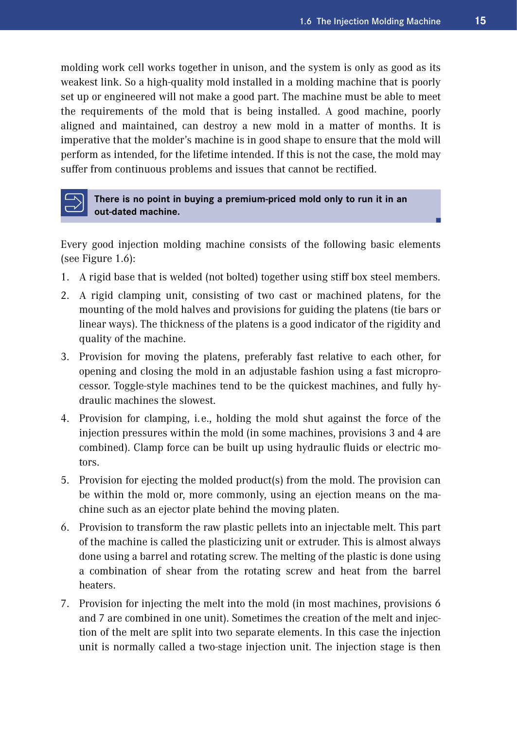molding work cell works together in unison, and the system is only as good as its weakest link. So a high-quality mold installed in a molding machine that is poorly set up or engineered will not make a good part. The machine must be able to meet the requirements of the mold that is being installed. A good machine, poorly aligned and maintained, can destroy a new mold in a matter of months. It is imperative that the molder's machine is in good shape to ensure that the mold will perform as intended, for the lifetime intended. If this is not the case, the mold may suffer from continuous problems and issues that cannot be rectified.

#### **There is no point in buying a premium-priced mold only to run it in an out-dated machine.**

Every good injection molding machine consists of the following basic elements (see Figure 1.6):

- 1. A rigid base that is welded (not bolted) together using stiff box steel members.
- 2. A rigid clamping unit, consisting of two cast or machined platens, for the mounting of the mold halves and provisions for guiding the platens (tie bars or linear ways). The thickness of the platens is a good indicator of the rigidity and quality of the machine.
- 3. Provision for moving the platens, preferably fast relative to each other, for opening and closing the mold in an adjustable fashion using a fast microprocessor. Toggle-style machines tend to be the quickest machines, and fully hydraulic machines the slowest.
- 4. Provision for clamping, i. e., holding the mold shut against the force of the injection pressures within the mold (in some machines, provisions 3 and 4 are combined). Clamp force can be built up using hydraulic fluids or electric motors.
- 5. Provision for ejecting the molded product(s) from the mold. The provision can be within the mold or, more commonly, using an ejection means on the machine such as an ejector plate behind the moving platen.
- 6. Provision to transform the raw plastic pellets into an injectable melt. This part of the machine is called the plasticizing unit or extruder. This is almost always done using a barrel and rotating screw. The melting of the plastic is done using a combination of shear from the rotating screw and heat from the barrel heaters.
- 7. Provision for injecting the melt into the mold (in most machines, provisions 6 and 7 are combined in one unit). Sometimes the creation of the melt and injection of the melt are split into two separate elements. In this case the injection unit is normally called a two-stage injection unit. The injection stage is then

∟